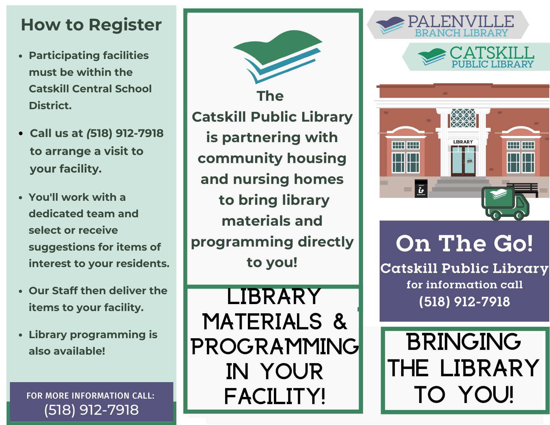### **How to Register**

- **Participating facilities must be within the Catskill Central School District.**
- **Call us at** *(***518) 912-7918 to arrange a visit to your facility.**
- **You'll work with a dedicated team and select or receive suggestions for items of interest to your residents.**
- **Our Staff then deliver the items to your facility.**
- **Library programming is also available!**

FOR MORE INFORMATION CALL: (518) 912-7918

**The Catskill Public Library is partnering with community housing and nursing homes to bring library materials and programming directly to you!**

Library Materials & PROGRAMMING In Your Facility!







# **On The Go!**

**Catskill Public Library for information call (518) 912-7918**

**BRINGING** the Library to You!